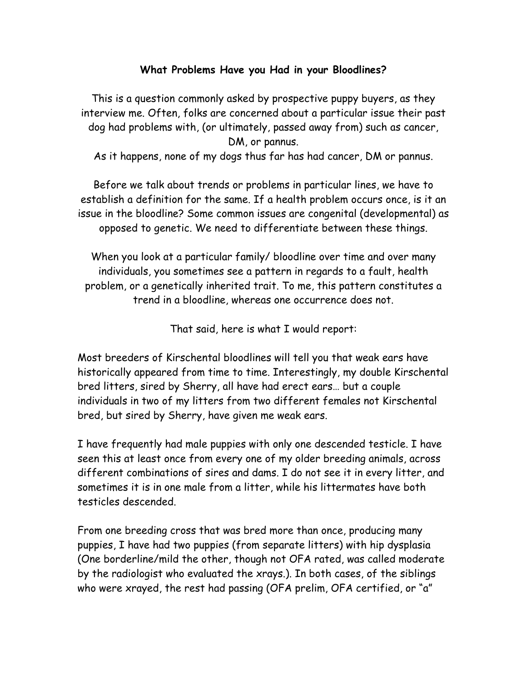## **What Problems Have you Had in your Bloodlines?**

This is a question commonly asked by prospective puppy buyers, as they interview me. Often, folks are concerned about a particular issue their past dog had problems with, (or ultimately, passed away from) such as cancer, DM, or pannus.

As it happens, none of my dogs thus far has had cancer, DM or pannus.

Before we talk about trends or problems in particular lines, we have to establish a definition for the same. If a health problem occurs once, is it an issue in the bloodline? Some common issues are congenital (developmental) as opposed to genetic. We need to differentiate between these things.

When you look at a particular family/ bloodline over time and over many individuals, you sometimes see a pattern in regards to a fault, health problem, or a genetically inherited trait. To me, this pattern constitutes a trend in a bloodline, whereas one occurrence does not.

That said, here is what I would report:

Most breeders of Kirschental bloodlines will tell you that weak ears have historically appeared from time to time. Interestingly, my double Kirschental bred litters, sired by Sherry, all have had erect ears… but a couple individuals in two of my litters from two different females not Kirschental bred, but sired by Sherry, have given me weak ears.

I have frequently had male puppies with only one descended testicle. I have seen this at least once from every one of my older breeding animals, across different combinations of sires and dams. I do not see it in every litter, and sometimes it is in one male from a litter, while his littermates have both testicles descended.

From one breeding cross that was bred more than once, producing many puppies, I have had two puppies (from separate litters) with hip dysplasia (One borderline/mild the other, though not OFA rated, was called moderate by the radiologist who evaluated the xrays.). In both cases, of the siblings who were xrayed, the rest had passing (OFA prelim, OFA certified, or "a"